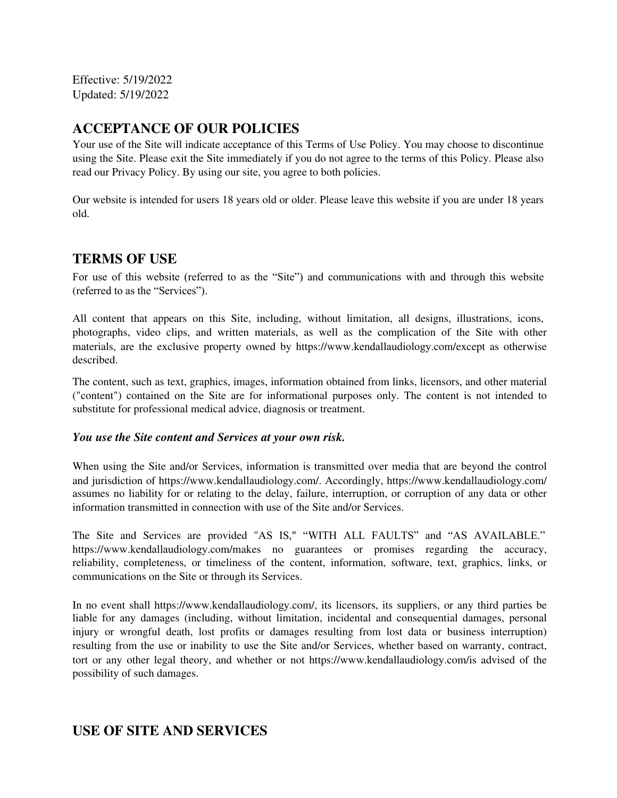Effective: 5/19/2022 Updated: 5/19/2022

# **ACCEPTANCE OF OUR POLICIES**

Your use of the Site will indicate acceptance of this Terms of Use Policy. You may choose to discontinue using the Site. Please exit the Site immediately if you do not agree to the terms of this Policy. Please also read our Privacy Policy. By using our site, you agree to both policies.

Our website is intended for users 18 years old or older. Please leave this website if you are under 18 years old.

## **TERMS OF USE**

For use of this website (referred to as the "Site") and communications with and through this website (referred to as the "Services").

All content that appears on this Site, including, without limitation, all designs, illustrations, icons, photographs, video clips, and written materials, as well as the complication of the Site with other materials, are the exclusive property owned by https://www.kendallaudiology.com/except as otherwise described.

The content, such as text, graphics, images, information obtained from links, licensors, and other material ("content") contained on the Site are for informational purposes only. The content is not intended to substitute for professional medical advice, diagnosis or treatment.

#### *You use the Site content and Services at your own risk.*

When using the Site and/or Services, information is transmitted over media that are beyond the control and jurisdiction of https://www.kendallaudiology.com/. Accordingly, https://www.kendallaudiology.com/ assumes no liability for or relating to the delay, failure, interruption, or corruption of any data or other information transmitted in connection with use of the Site and/or Services.

The Site and Services are provided "AS IS," "WITH ALL FAULTS" and "AS AVAILABLE." https://www.kendallaudiology.com/makes no guarantees or promises regarding the accuracy, reliability, completeness, or timeliness of the content, information, software, text, graphics, links, or communications on the Site or through its Services.

In no event shall https://www.kendallaudiology.com/, its licensors, its suppliers, or any third parties be liable for any damages (including, without limitation, incidental and consequential damages, personal injury or wrongful death, lost profits or damages resulting from lost data or business interruption) resulting from the use or inability to use the Site and/or Services, whether based on warranty, contract, tort or any other legal theory, and whether or not https://www.kendallaudiology.com/is advised of the possibility of such damages.

# **USE OF SITE AND SERVICES**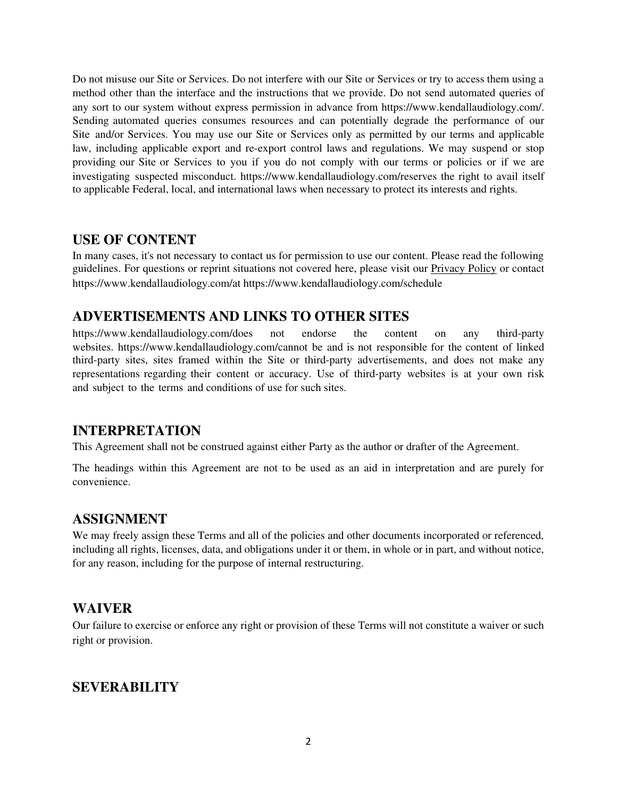Do not misuse our Site or Services. Do not interfere with our Site or Services or try to access them using a method other than the interface and the instructions that we provide. Do not send automated queries of any sort to our system without express permission in advance from https://www.kendallaudiology.com/. Sending automated queries consumes resources and can potentially degrade the performance of our Site and/or Services. You may use our Site or Services only as permitted by our terms and applicable law, including applicable export and re-export control laws and regulations. We may suspend or stop providing our Site or Services to you if you do not comply with our terms or policies or if we are investigating suspected misconduct. https://www.kendallaudiology.com/reserves the right to avail itself to applicable Federal, local, and international laws when necessary to protect its interests and rights.

#### **USE OF CONTENT**

In many cases, it's not necessary to contact us for permission to use our content. Please read the following guidelines. For questions or reprint situations not covered here, please visit our Privacy Policy or contact https://www.kendallaudiology.com/at https://www.kendallaudiology.com/schedule

## **ADVERTISEMENTS AND LINKS TO OTHER SITES**

https://www.kendallaudiology.com/does not endorse the content on any third-party websites. https://www.kendallaudiology.com/cannot be and is not responsible for the content of linked third-party sites, sites framed within the Site or third-party advertisements, and does not make any representations regarding their content or accuracy. Use of third-party websites is at your own risk and subject to the terms and conditions of use for such sites.

## **INTERPRETATION**

This Agreement shall not be construed against either Party as the author or drafter of the Agreement.

The headings within this Agreement are not to be used as an aid in interpretation and are purely for convenience.

## **ASSIGNMENT**

We may freely assign these Terms and all of the policies and other documents incorporated or referenced, including all rights, licenses, data, and obligations under it or them, in whole or in part, and without notice, for any reason, including for the purpose of internal restructuring.

## **WAIVER**

Our failure to exercise or enforce any right or provision of these Terms will not constitute a waiver or such right or provision.

## **SEVERABILITY**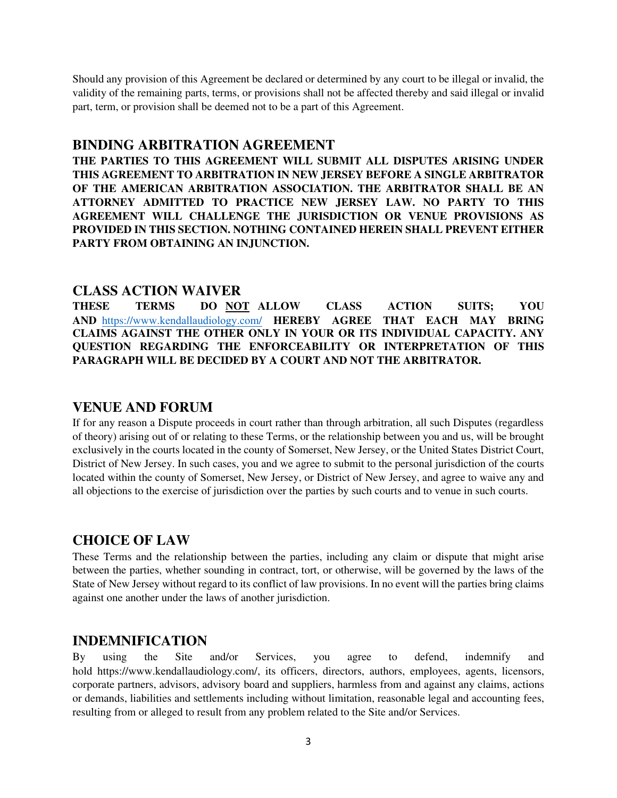Should any provision of this Agreement be declared or determined by any court to be illegal or invalid, the validity of the remaining parts, terms, or provisions shall not be affected thereby and said illegal or invalid part, term, or provision shall be deemed not to be a part of this Agreement.

#### **BINDING ARBITRATION AGREEMENT**

**THE PARTIES TO THIS AGREEMENT WILL SUBMIT ALL DISPUTES ARISING UNDER THIS AGREEMENT TO ARBITRATION IN NEW JERSEY BEFORE A SINGLE ARBITRATOR OF THE AMERICAN ARBITRATION ASSOCIATION. THE ARBITRATOR SHALL BE AN ATTORNEY ADMITTED TO PRACTICE NEW JERSEY LAW. NO PARTY TO THIS AGREEMENT WILL CHALLENGE THE JURISDICTION OR VENUE PROVISIONS AS PROVIDED IN THIS SECTION. NOTHING CONTAINED HEREIN SHALL PREVENT EITHER PARTY FROM OBTAINING AN INJUNCTION.** 

#### **CLASS ACTION WAIVER**

**THESE TERMS DO NOT ALLOW CLASS ACTION SUITS; YOU AND** https://www.[kendallaudiolog](https://www.theaudiologyctr.com/)y.com/ **HEREBY AGREE THAT EACH MAY BRING CLAIMS AGAINST THE OTHER ONLY IN YOUR OR ITS INDIVIDUAL CAPACITY. ANY QUESTION REGARDING THE ENFORCEABILITY OR INTERPRETATION OF THIS PARAGRAPH WILL BE DECIDED BY A COURT AND NOT THE ARBITRATOR.** 

#### **VENUE AND FORUM**

If for any reason a Dispute proceeds in court rather than through arbitration, all such Disputes (regardless of theory) arising out of or relating to these Terms, or the relationship between you and us, will be brought exclusively in the courts located in the county of Somerset, New Jersey, or the United States District Court, District of New Jersey. In such cases, you and we agree to submit to the personal jurisdiction of the courts located within the county of Somerset, New Jersey, or District of New Jersey, and agree to waive any and all objections to the exercise of jurisdiction over the parties by such courts and to venue in such courts.

#### **CHOICE OF LAW**

These Terms and the relationship between the parties, including any claim or dispute that might arise between the parties, whether sounding in contract, tort, or otherwise, will be governed by the laws of the State of New Jersey without regard to its conflict of law provisions. In no event will the parties bring claims against one another under the laws of another jurisdiction.

#### **INDEMNIFICATION**

By using the Site and/or Services, you agree to defend, indemnify and hold https://www.kendallaudiology.com/, its officers, directors, authors, employees, agents, licensors, corporate partners, advisors, advisory board and suppliers, harmless from and against any claims, actions or demands, liabilities and settlements including without limitation, reasonable legal and accounting fees, resulting from or alleged to result from any problem related to the Site and/or Services.